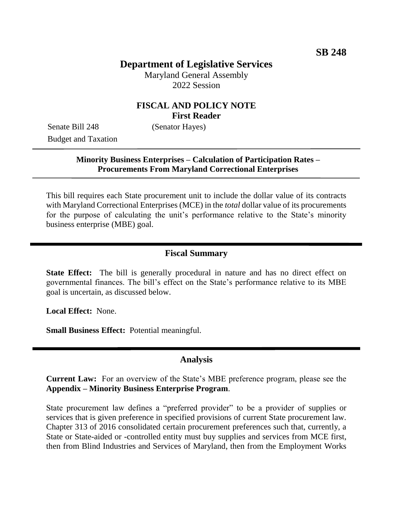## **Department of Legislative Services**

Maryland General Assembly 2022 Session

## **FISCAL AND POLICY NOTE First Reader**

Senate Bill 248 (Senator Hayes) Budget and Taxation

## **Minority Business Enterprises – Calculation of Participation Rates – Procurements From Maryland Correctional Enterprises**

This bill requires each State procurement unit to include the dollar value of its contracts with Maryland Correctional Enterprises (MCE) in the *total* dollar value of its procurements for the purpose of calculating the unit's performance relative to the State's minority business enterprise (MBE) goal.

## **Fiscal Summary**

**State Effect:** The bill is generally procedural in nature and has no direct effect on governmental finances. The bill's effect on the State's performance relative to its MBE goal is uncertain, as discussed below.

**Local Effect:** None.

**Small Business Effect:** Potential meaningful.

#### **Analysis**

**Current Law:** For an overview of the State's MBE preference program, please see the **Appendix – Minority Business Enterprise Program**.

State procurement law defines a "preferred provider" to be a provider of supplies or services that is given preference in specified provisions of current State procurement law. Chapter 313 of 2016 consolidated certain procurement preferences such that, currently, a State or State-aided or -controlled entity must buy supplies and services from MCE first, then from Blind Industries and Services of Maryland, then from the Employment Works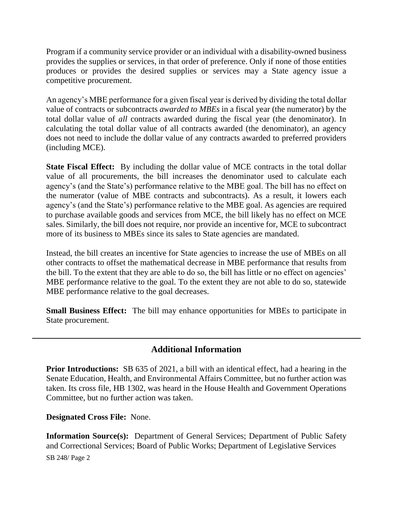Program if a community service provider or an individual with a disability-owned business provides the supplies or services, in that order of preference. Only if none of those entities produces or provides the desired supplies or services may a State agency issue a competitive procurement.

An agency's MBE performance for a given fiscal year is derived by dividing the total dollar value of contracts or subcontracts *awarded to MBEs* in a fiscal year (the numerator) by the total dollar value of *all* contracts awarded during the fiscal year (the denominator). In calculating the total dollar value of all contracts awarded (the denominator), an agency does not need to include the dollar value of any contracts awarded to preferred providers (including MCE).

**State Fiscal Effect:** By including the dollar value of MCE contracts in the total dollar value of all procurements, the bill increases the denominator used to calculate each agency's (and the State's) performance relative to the MBE goal. The bill has no effect on the numerator (value of MBE contracts and subcontracts). As a result, it lowers each agency's (and the State's) performance relative to the MBE goal. As agencies are required to purchase available goods and services from MCE, the bill likely has no effect on MCE sales. Similarly, the bill does not require, nor provide an incentive for, MCE to subcontract more of its business to MBEs since its sales to State agencies are mandated.

Instead, the bill creates an incentive for State agencies to increase the use of MBEs on all other contracts to offset the mathematical decrease in MBE performance that results from the bill. To the extent that they are able to do so, the bill has little or no effect on agencies' MBE performance relative to the goal. To the extent they are not able to do so, statewide MBE performance relative to the goal decreases.

**Small Business Effect:** The bill may enhance opportunities for MBEs to participate in State procurement.

## **Additional Information**

**Prior Introductions:** SB 635 of 2021, a bill with an identical effect, had a hearing in the Senate Education, Health, and Environmental Affairs Committee, but no further action was taken. Its cross file, HB 1302, was heard in the House Health and Government Operations Committee, but no further action was taken.

**Designated Cross File:** None.

**Information Source(s):** Department of General Services; Department of Public Safety and Correctional Services; Board of Public Works; Department of Legislative Services

SB 248/ Page 2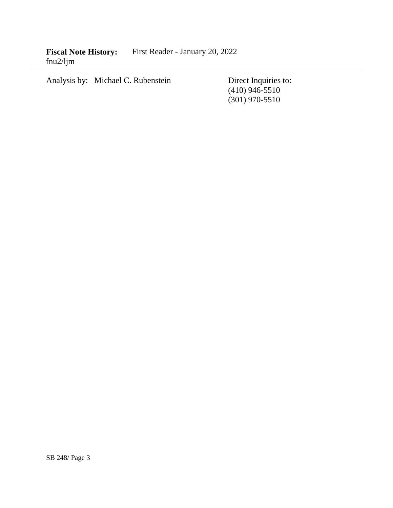Analysis by: Michael C. Rubenstein Direct Inquiries to: (410) 946-5510 (301) 970-5510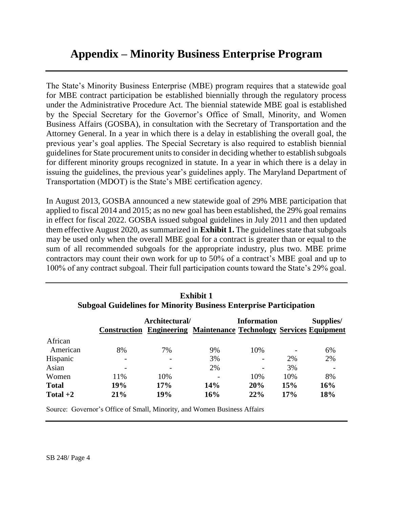# **Appendix – Minority Business Enterprise Program**

The State's Minority Business Enterprise (MBE) program requires that a statewide goal for MBE contract participation be established biennially through the regulatory process under the Administrative Procedure Act. The biennial statewide MBE goal is established by the Special Secretary for the Governor's Office of Small, Minority, and Women Business Affairs (GOSBA), in consultation with the Secretary of Transportation and the Attorney General. In a year in which there is a delay in establishing the overall goal, the previous year's goal applies. The Special Secretary is also required to establish biennial guidelines for State procurement units to consider in deciding whether to establish subgoals for different minority groups recognized in statute. In a year in which there is a delay in issuing the guidelines, the previous year's guidelines apply. The Maryland Department of Transportation (MDOT) is the State's MBE certification agency.

In August 2013, GOSBA announced a new statewide goal of 29% MBE participation that applied to fiscal 2014 and 2015; as no new goal has been established, the 29% goal remains in effect for fiscal 2022. GOSBA issued subgoal guidelines in July 2011 and then updated them effective August 2020, as summarized in **Exhibit 1.** The guidelines state that subgoals may be used only when the overall MBE goal for a contract is greater than or equal to the sum of all recommended subgoals for the appropriate industry, plus two. MBE prime contractors may count their own work for up to 50% of a contract's MBE goal and up to 100% of any contract subgoal. Their full participation counts toward the State's 29% goal.

|              |     | Architectural/ | <b>Construction Engineering Maintenance Technology Services Equipment</b> | <b>Information</b> |     | Supplies/ |
|--------------|-----|----------------|---------------------------------------------------------------------------|--------------------|-----|-----------|
| African      |     |                |                                                                           |                    |     |           |
| American     | 8%  | 7%             | 9%                                                                        | 10%                |     | 6%        |
| Hispanic     |     |                | 3%                                                                        |                    | 2%  | 2%        |
| Asian        |     |                | 2%                                                                        |                    | 3%  |           |
| Women        | 11% | 10%            |                                                                           | 10%                | 10% | 8%        |
| <b>Total</b> | 19% | 17%            | <b>14%</b>                                                                | 20%                | 15% | 16%       |
| Total $+2$   | 21% | 19%            | 16%                                                                       | 22%                | 17% | 18%       |

**Exhibit 1 Subgoal Guidelines for Minority Business Enterprise Participation**

Source: Governor's Office of Small, Minority, and Women Business Affairs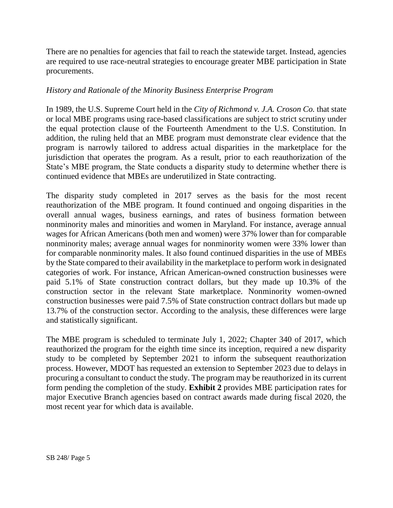There are no penalties for agencies that fail to reach the statewide target. Instead, agencies are required to use race-neutral strategies to encourage greater MBE participation in State procurements.

#### *History and Rationale of the Minority Business Enterprise Program*

In 1989, the U.S. Supreme Court held in the *City of Richmond v. J.A. Croson Co.* that state or local MBE programs using race-based classifications are subject to strict scrutiny under the equal protection clause of the Fourteenth Amendment to the U.S. Constitution. In addition, the ruling held that an MBE program must demonstrate clear evidence that the program is narrowly tailored to address actual disparities in the marketplace for the jurisdiction that operates the program. As a result, prior to each reauthorization of the State's MBE program, the State conducts a disparity study to determine whether there is continued evidence that MBEs are underutilized in State contracting.

The disparity study completed in 2017 serves as the basis for the most recent reauthorization of the MBE program. It found continued and ongoing disparities in the overall annual wages, business earnings, and rates of business formation between nonminority males and minorities and women in Maryland. For instance, average annual wages for African Americans (both men and women) were 37% lower than for comparable nonminority males; average annual wages for nonminority women were 33% lower than for comparable nonminority males. It also found continued disparities in the use of MBEs by the State compared to their availability in the marketplace to perform work in designated categories of work. For instance, African American-owned construction businesses were paid 5.1% of State construction contract dollars, but they made up 10.3% of the construction sector in the relevant State marketplace. Nonminority women-owned construction businesses were paid 7.5% of State construction contract dollars but made up 13.7% of the construction sector. According to the analysis, these differences were large and statistically significant.

The MBE program is scheduled to terminate July 1, 2022; Chapter 340 of 2017, which reauthorized the program for the eighth time since its inception, required a new disparity study to be completed by September 2021 to inform the subsequent reauthorization process. However, MDOT has requested an extension to September 2023 due to delays in procuring a consultant to conduct the study. The program may be reauthorized in its current form pending the completion of the study. **Exhibit 2** provides MBE participation rates for major Executive Branch agencies based on contract awards made during fiscal 2020, the most recent year for which data is available.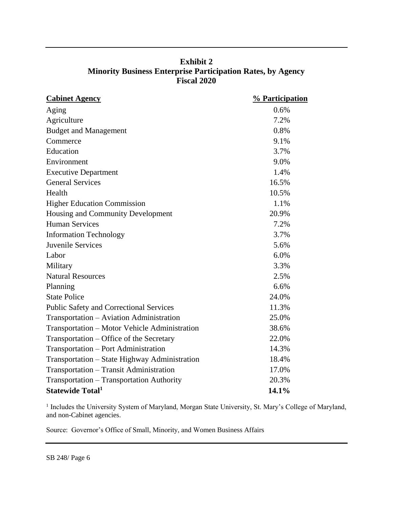| <b>Exhibit 2</b>                                                   |
|--------------------------------------------------------------------|
| <b>Minority Business Enterprise Participation Rates, by Agency</b> |
| <b>Fiscal 2020</b>                                                 |

| <b>Cabinet Agency</b>                          | % Participation |
|------------------------------------------------|-----------------|
| Aging                                          | 0.6%            |
| Agriculture                                    | 7.2%            |
| <b>Budget and Management</b>                   | 0.8%            |
| Commerce                                       | 9.1%            |
| Education                                      | 3.7%            |
| Environment                                    | 9.0%            |
| <b>Executive Department</b>                    | 1.4%            |
| <b>General Services</b>                        | 16.5%           |
| Health                                         | 10.5%           |
| <b>Higher Education Commission</b>             | 1.1%            |
| Housing and Community Development              | 20.9%           |
| <b>Human Services</b>                          | 7.2%            |
| <b>Information Technology</b>                  | 3.7%            |
| <b>Juvenile Services</b>                       | 5.6%            |
| Labor                                          | 6.0%            |
| Military                                       | 3.3%            |
| <b>Natural Resources</b>                       | 2.5%            |
| Planning                                       | 6.6%            |
| <b>State Police</b>                            | 24.0%           |
| <b>Public Safety and Correctional Services</b> | 11.3%           |
| Transportation - Aviation Administration       | 25.0%           |
| Transportation – Motor Vehicle Administration  | 38.6%           |
| Transportation – Office of the Secretary       | 22.0%           |
| Transportation - Port Administration           | 14.3%           |
| Transportation – State Highway Administration  | 18.4%           |
| Transportation - Transit Administration        | 17.0%           |
| Transportation - Transportation Authority      | 20.3%           |
| <b>Statewide Total</b> <sup>1</sup>            | 14.1%           |

<sup>1</sup> Includes the University System of Maryland, Morgan State University, St. Mary's College of Maryland, and non-Cabinet agencies.

Source: Governor's Office of Small, Minority, and Women Business Affairs